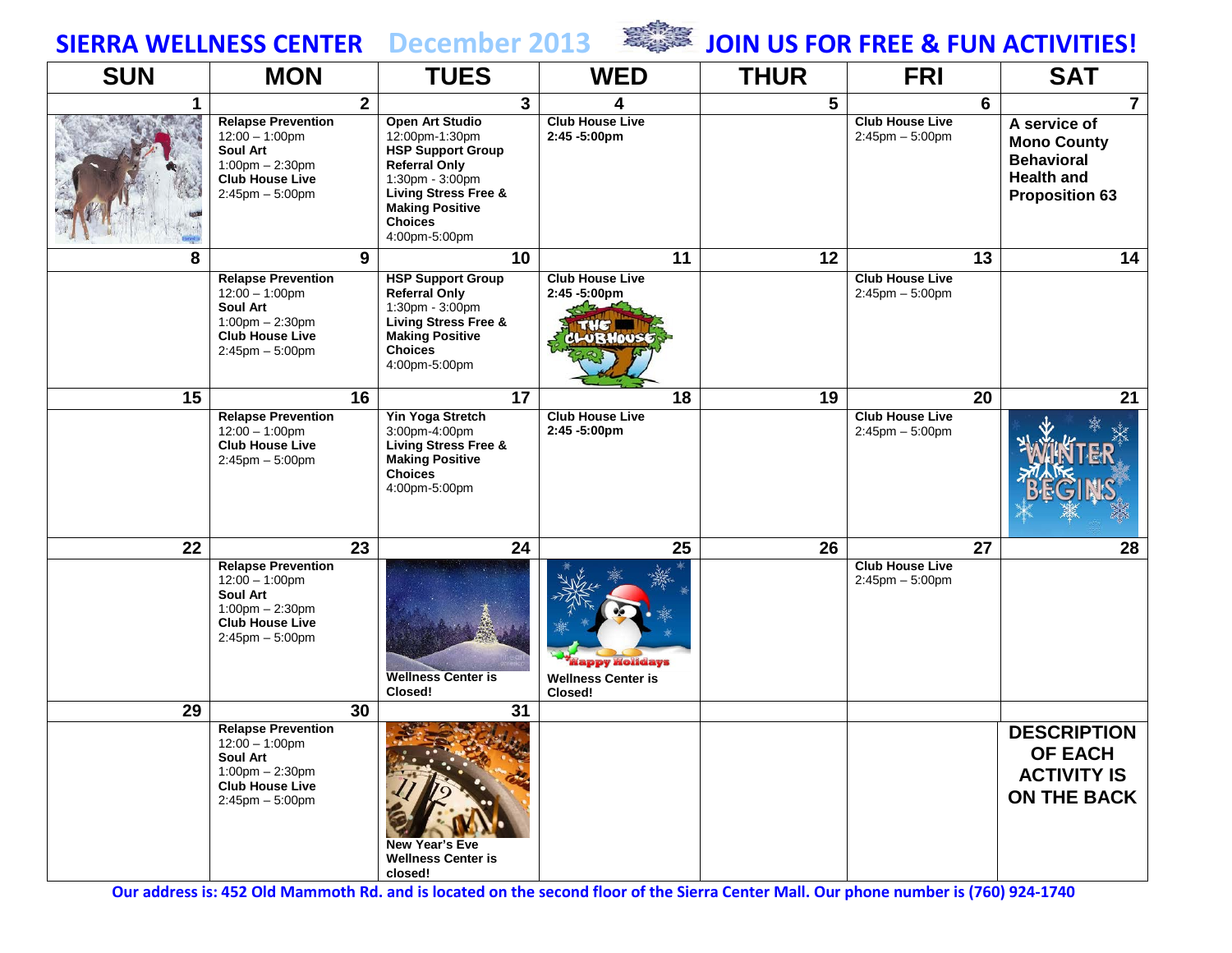

# **SIERRA WELLNESS CENTER December 2013 JOIN US FOR FREE & FUN ACTIVITIES!**

| <b>SUN</b>      | <b>MON</b>                                                                                                                                               | <b>TUES</b>                                                                                                                                                                                              | <b>WED</b>                                                    | <b>THUR</b> | <b>FRI</b>                                     | <b>SAT</b>                                                                                            |
|-----------------|----------------------------------------------------------------------------------------------------------------------------------------------------------|----------------------------------------------------------------------------------------------------------------------------------------------------------------------------------------------------------|---------------------------------------------------------------|-------------|------------------------------------------------|-------------------------------------------------------------------------------------------------------|
|                 |                                                                                                                                                          | $\overline{2}$<br>3 <sup>1</sup>                                                                                                                                                                         |                                                               | 5           | 6                                              | $\overline{7}$                                                                                        |
|                 | <b>Relapse Prevention</b><br>$12:00 - 1:00$ pm<br>Soul Art<br>$1:00$ pm $- 2:30$ pm<br><b>Club House Live</b><br>$2:45$ pm $-5:00$ pm                    | Open Art Studio<br>12:00pm-1:30pm<br><b>HSP Support Group</b><br><b>Referral Only</b><br>1:30pm - 3:00pm<br><b>Living Stress Free &amp;</b><br><b>Making Positive</b><br><b>Choices</b><br>4:00pm-5:00pm | <b>Club House Live</b><br>2:45 -5:00pm                        |             | <b>Club House Live</b><br>$2:45$ pm $-5:00$ pm | A service of<br><b>Mono County</b><br><b>Behavioral</b><br><b>Health and</b><br><b>Proposition 63</b> |
| 8               |                                                                                                                                                          | 9<br>10                                                                                                                                                                                                  | $\overline{11}$                                               | 12          | 13                                             | 14                                                                                                    |
|                 | <b>Relapse Prevention</b><br>$12:00 - 1:00$ pm<br>Soul Art<br>$1:00$ pm $- 2:30$ pm<br><b>Club House Live</b><br>$2:45$ pm $-5:00$ pm                    | <b>HSP Support Group</b><br><b>Referral Only</b><br>1:30pm - 3:00pm<br><b>Living Stress Free &amp;</b><br><b>Making Positive</b><br><b>Choices</b><br>4:00pm-5:00pm                                      | <b>Club House Live</b><br>2:45 -5:00pm<br>CLURHOUSE           |             | <b>Club House Live</b><br>$2:45$ pm $-5:00$ pm |                                                                                                       |
| $\overline{15}$ | 16                                                                                                                                                       | 17                                                                                                                                                                                                       | 18                                                            | 19          | 20                                             | 21                                                                                                    |
|                 | <b>Relapse Prevention</b><br>$12:00 - 1:00$ pm<br><b>Club House Live</b><br>$2:45$ pm $-5:00$ pm                                                         | Yin Yoga Stretch<br>3:00pm-4:00pm<br><b>Living Stress Free &amp;</b><br><b>Making Positive</b><br><b>Choices</b><br>4:00pm-5:00pm                                                                        | <b>Club House Live</b><br>2:45 -5:00pm                        |             | <b>Club House Live</b><br>$2:45$ pm $-5:00$ pm |                                                                                                       |
| 22              | 23                                                                                                                                                       | 24                                                                                                                                                                                                       | 25                                                            | 26          | 27                                             | 28                                                                                                    |
|                 | <b>Relapse Prevention</b><br>$12:00 - 1:00$ pm<br><b>Soul Art</b><br>$1:00 \text{pm} - 2:30 \text{pm}$<br><b>Club House Live</b><br>$2:45$ pm $-5:00$ pm | <b>Wellness Center is</b><br>Closed!                                                                                                                                                                     | lappy <i>Holidays</i><br><b>Wellness Center is</b><br>Closed! |             | <b>Club House Live</b><br>$2:45$ pm $-5:00$ pm |                                                                                                       |
| 29              | 30                                                                                                                                                       | 31                                                                                                                                                                                                       |                                                               |             |                                                |                                                                                                       |
|                 | <b>Relapse Prevention</b><br>$12:00 - 1:00$ pm<br>Soul Art<br>$1:00$ pm $- 2:30$ pm<br><b>Club House Live</b><br>$2:45$ pm $-5:00$ pm                    | New Year's Eve<br><b>Wellness Center is</b><br>closed!                                                                                                                                                   |                                                               |             |                                                | <b>DESCRIPTION</b><br>OF EACH<br><b>ACTIVITY IS</b><br>ON THE BACK                                    |

**Our address is: 452 Old Mammoth Rd. and is located on the second floor of the Sierra Center Mall. Our phone number is (760) 924-1740**